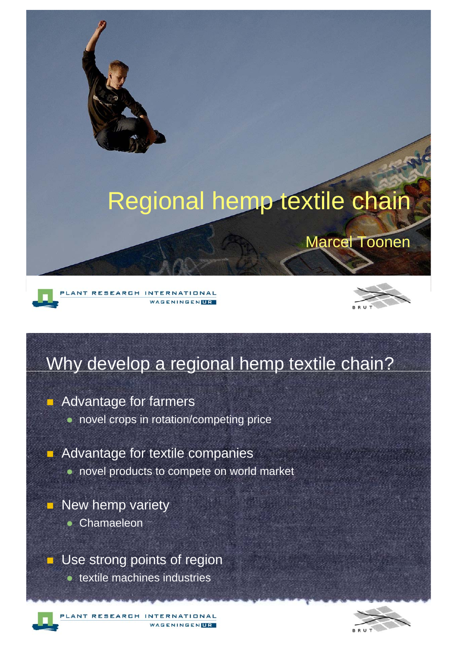

### Why develop a regional hemp textile chain?

**Advantage for farmers** 

- novel crops in rotation/competing price
- **Advantage for textile companies** 
	- novel products to compete on world market
- **New hemp variety** 
	- Chamaeleon

**Use strong points of region** 

textile machines industries

ANT RESEARCH INTERNATIONAL WAGENINGENTR

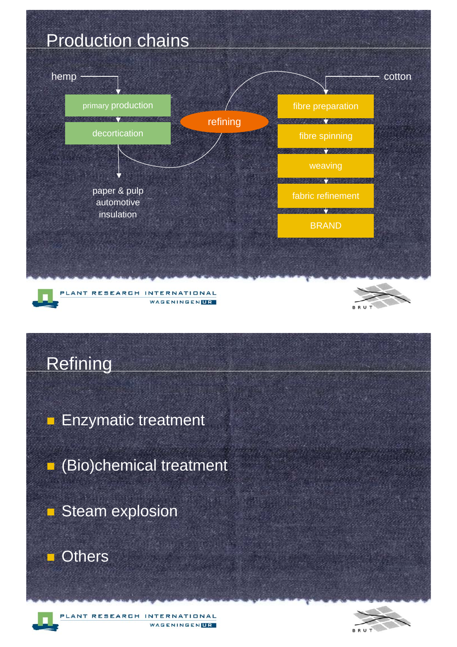





**Enzymatic treatment** 

(Bio)chemical treatment

Steam explosion

**Others** 

PLANT RESEARCH INTERNATIONAL WAGENINGENLR

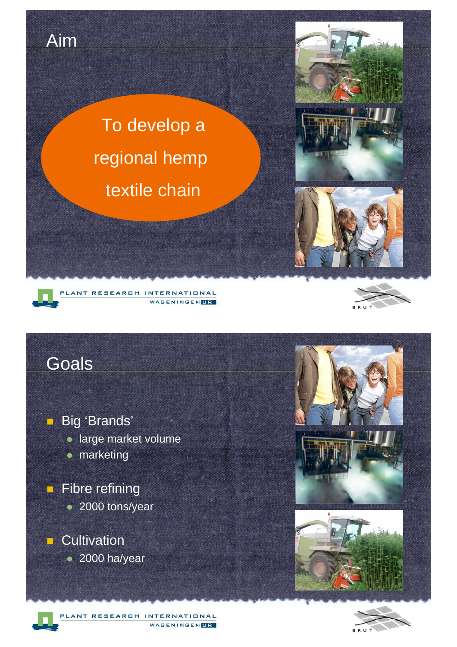

**Big 'Brands' Iarge market volume**  marketing **E** Fibre refining • 2000 tons/year **Cultivation** • 2000 ha/year



LANT RESEARCH INTERNATIONAL **WAGENINGENLIR**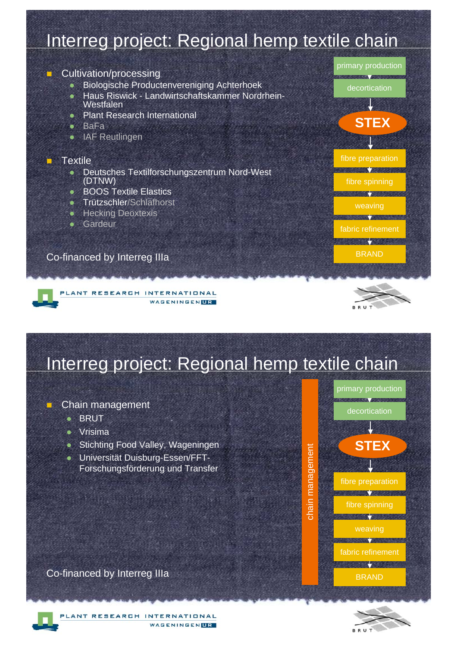### Interreg project: Regional hemp textile chain

#### -Cultivation/processing

- Biologische Productenvereniging Achterhoek
- Haus Riswick Landwirtschaftskammer Nordrhein-**Westfalen**
- Plant Research International
- $B = BAF$
- IAF Reutlingen

#### **Textile**

-

- **Deutsches Textilforschungszentrum Nord-West** (DTNW)
- BOOS Textile Elastics
- **•** Trützschler/Schlafhorst
- **•** Hecking Deoxtexis
- **•** Gardeur

#### Co-financed by Interreg IIIa

#### PLANT RESEARCH INTERNATIONAL WAGENINGENLIR



fibre preparation

decortication

**STEX**

primary production

fabric refinement

**BARBARA** 

BRAND

weaving

**SHOW 7** 

fibre spinning

### Interreg project: Regional hemp textile chain

#### Chain management

**• BRUT** 

-

- **•** Vrisima
- **Stichting Food Valley, Wageningen**
- Universität Duisburg-Essen/FFT-Forschungsförderung und Transfer







LANT RESEARCH INTERNATIONAL WAGENINGENTRY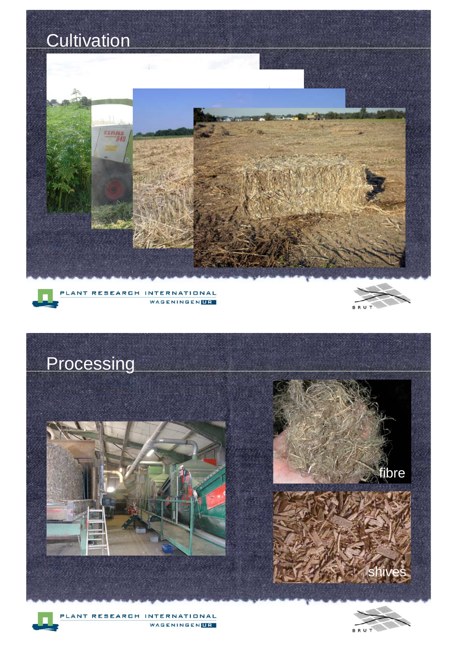



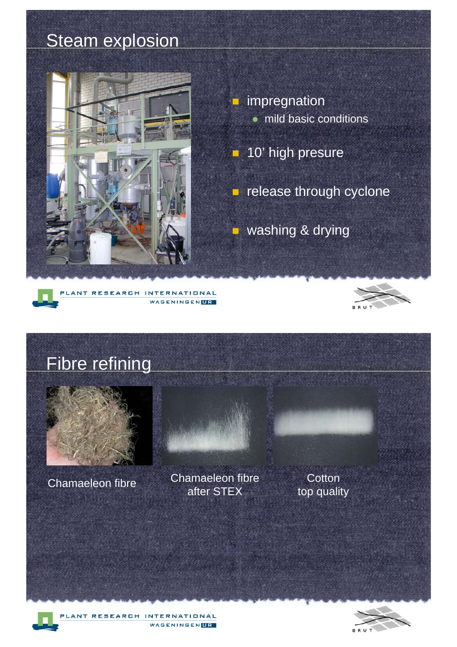### **Steam explosion**



 impregnation  $\bullet$  mild basic conditions

**10' high presure** 

**E** release through cyclone

■ washing & drying





Fibre refining Chamaeleon fibre<br>
Chamaeleon fibre after STEX **Cotton** top quality

WAGENINGENLIR

ANT RESEARCH INTERNATIONAL

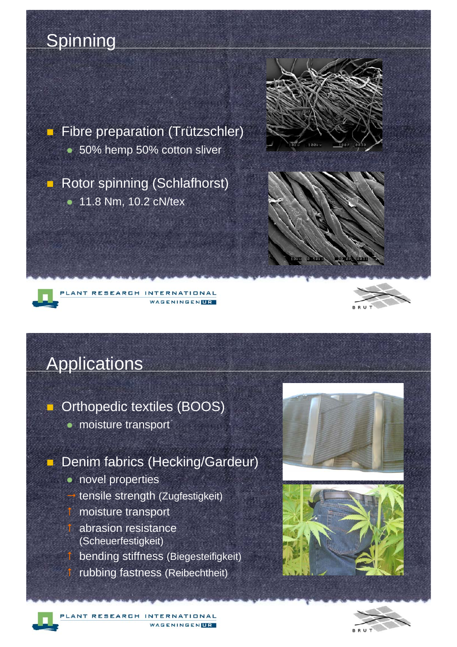### **Spinning**

**Fibre preparation (Trützschler)** • 50% hemp 50% cotton sliver

**Rotor spinning (Schlafhorst)** • 11.8 Nm, 10.2 cN/tex



#### ANT RESEARCH INTERNATIONAL **WAGENINGENLIR**



### **Applications**

**C** Orthopedic textiles (BOOS)

• moisture transport

#### **Denim fabrics (Hecking/Gardeur)**

• novel properties **••** tensile strength (Zugfestigkeit) **i** moisture transport abrasion resistance (Scheuerfestigkeit) bending stiffness (Biegesteifigkeit) rubbing fastness (Reibechtheit)



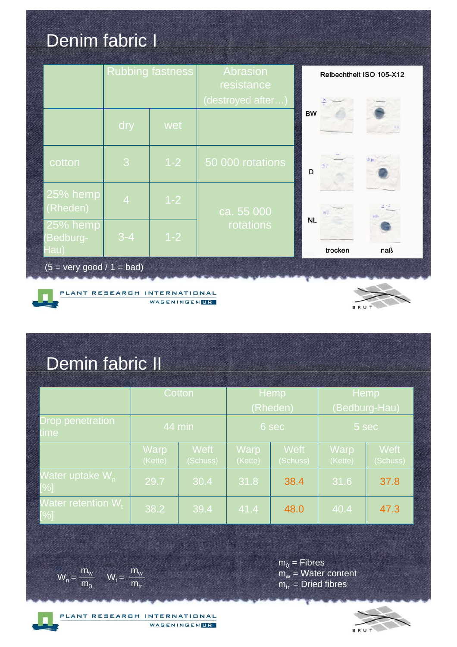### Denim fabric I

|                                           | <b>Rubbing fastness</b> |         | Abrasion<br>resistance |           | Reibechtheit ISO 105-X12 |     |
|-------------------------------------------|-------------------------|---------|------------------------|-----------|--------------------------|-----|
|                                           |                         |         | (destroyed after)      |           |                          |     |
|                                           | dry                     | wet     |                        | <b>BW</b> |                          |     |
| cotton                                    | 3                       | $1 - 2$ | 50 000 rotations       | D         |                          |     |
| 25% hemp<br>(Rheden)                      | $\overline{4}$          | $1 - 2$ | ca. 55000<br>rotations |           |                          | NN  |
| 25% hemp<br>Bedburg-<br>Hau)              | $3-4$                   | $1 - 2$ |                        | <b>NL</b> | trocken                  | naß |
| $(5 = \text{very good} / 1 = \text{bad})$ |                         |         |                        |           |                          |     |







## Demin fabric II

|                                         | Cotton          |                         | Hemp            |                         | Hemp                   |                         |
|-----------------------------------------|-----------------|-------------------------|-----------------|-------------------------|------------------------|-------------------------|
|                                         |                 |                         | (Rheden)        |                         | (Bedburg-Hau)          |                         |
| <b>Drop penetration</b><br>t <b>ime</b> | 44 min          |                         | 6 sec           |                         | 5 sec                  |                         |
|                                         | Warp<br>(Kette) | <b>Weft</b><br>(Schuss) | Warp<br>(Kette) | <b>Weft</b><br>(Schuss) | <b>Warp</b><br>(Kette) | <b>Weft</b><br>(Schuss) |
| Water uptake W <sub>n</sub><br>$[\%]$   | 29.7            | 30.4                    | 31.8            | 38.4                    | 31.6                   | 37.8                    |
| Water retention W,<br>$[\%]$            | 38.2            | 39.4                    | 41.4            | 48.0                    | 40.4                   | 47.3                    |



 $m_0^{\phantom{\dag}}$  = Fibres m<sub>w</sub> = Water content  $m_{tr}$  = Dried fibres



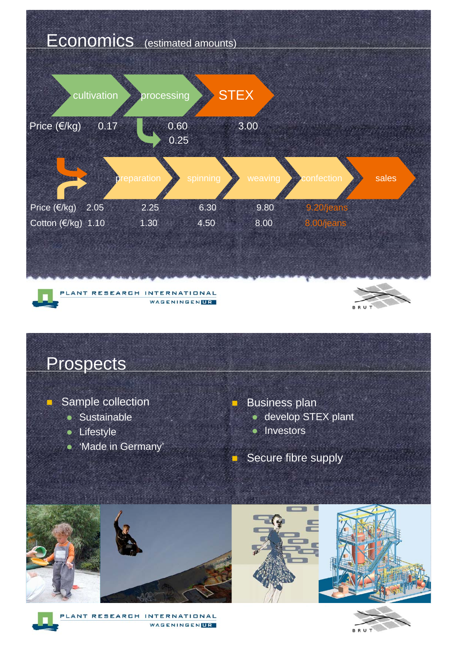



-

#### Sample collection

- Sustainable
- Lifestyle
- 'Made in Germany'

Business plan

-

- **develop STEX plant**
- Investors
- -Secure fibre supply









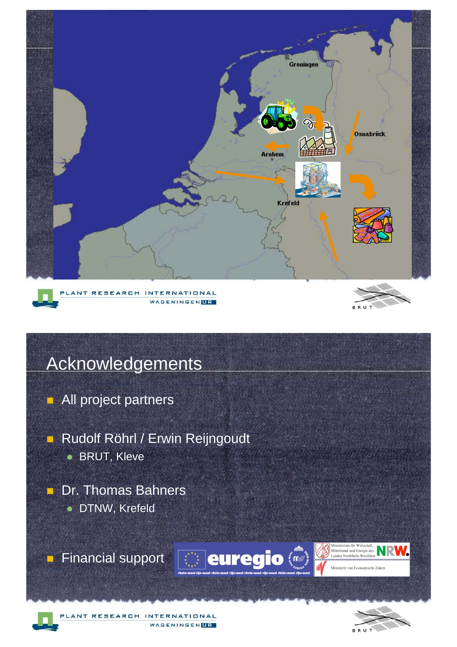

### **Acknowledgements**

- **All project partners**
- **Rudolf Röhrl / Erwin Reijngoudt BRUT, Kleve**
- **Dr. Thomas Bahners · DTNW, Krefeld**

**Financial support**